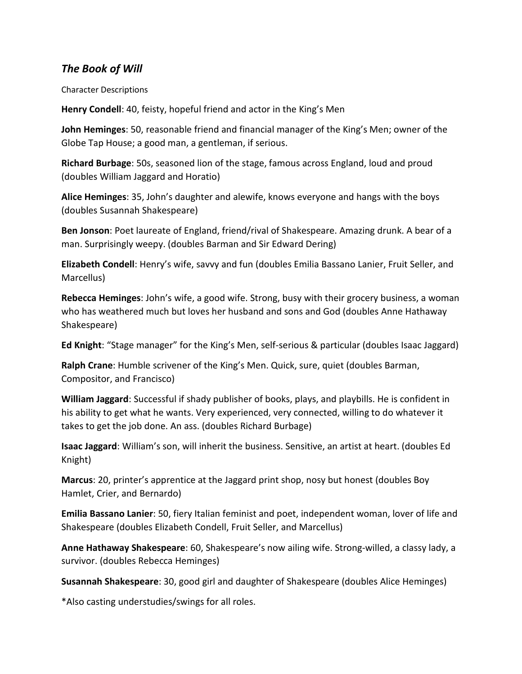## *The Book of Will*

Character Descriptions

**Henry Condell**: 40, feisty, hopeful friend and actor in the King's Men

**John Heminges**: 50, reasonable friend and financial manager of the King's Men; owner of the Globe Tap House; a good man, a gentleman, if serious.

**Richard Burbage**: 50s, seasoned lion of the stage, famous across England, loud and proud (doubles William Jaggard and Horatio)

**Alice Heminges**: 35, John's daughter and alewife, knows everyone and hangs with the boys (doubles Susannah Shakespeare)

**Ben Jonson**: Poet laureate of England, friend/rival of Shakespeare. Amazing drunk. A bear of a man. Surprisingly weepy. (doubles Barman and Sir Edward Dering)

**Elizabeth Condell**: Henry's wife, savvy and fun (doubles Emilia Bassano Lanier, Fruit Seller, and Marcellus)

**Rebecca Heminges**: John's wife, a good wife. Strong, busy with their grocery business, a woman who has weathered much but loves her husband and sons and God (doubles Anne Hathaway Shakespeare)

**Ed Knight**: "Stage manager" for the King's Men, self-serious & particular (doubles Isaac Jaggard)

**Ralph Crane**: Humble scrivener of the King's Men. Quick, sure, quiet (doubles Barman, Compositor, and Francisco)

**William Jaggard**: Successful if shady publisher of books, plays, and playbills. He is confident in his ability to get what he wants. Very experienced, very connected, willing to do whatever it takes to get the job done. An ass. (doubles Richard Burbage)

**Isaac Jaggard**: William's son, will inherit the business. Sensitive, an artist at heart. (doubles Ed Knight)

**Marcus**: 20, printer's apprentice at the Jaggard print shop, nosy but honest (doubles Boy Hamlet, Crier, and Bernardo)

**Emilia Bassano Lanier**: 50, fiery Italian feminist and poet, independent woman, lover of life and Shakespeare (doubles Elizabeth Condell, Fruit Seller, and Marcellus)

**Anne Hathaway Shakespeare**: 60, Shakespeare's now ailing wife. Strong-willed, a classy lady, a survivor. (doubles Rebecca Heminges)

**Susannah Shakespeare**: 30, good girl and daughter of Shakespeare (doubles Alice Heminges)

\*Also casting understudies/swings for all roles.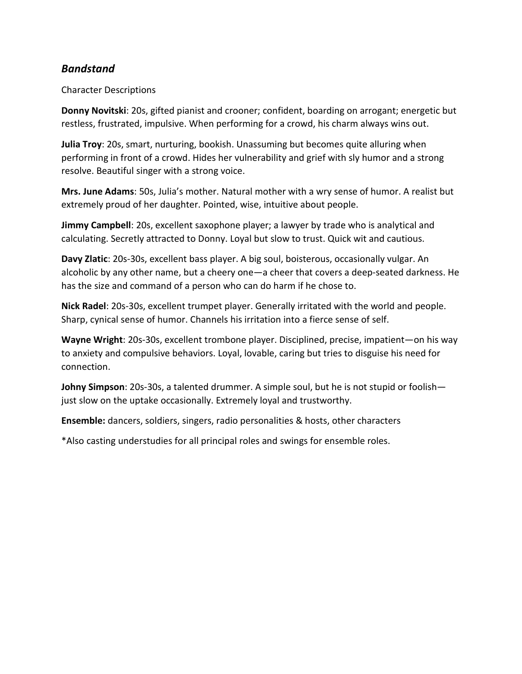## *Bandstand*

### Character Descriptions

**Donny Novitski**: 20s, gifted pianist and crooner; confident, boarding on arrogant; energetic but restless, frustrated, impulsive. When performing for a crowd, his charm always wins out.

**Julia Troy**: 20s, smart, nurturing, bookish. Unassuming but becomes quite alluring when performing in front of a crowd. Hides her vulnerability and grief with sly humor and a strong resolve. Beautiful singer with a strong voice.

**Mrs. June Adams**: 50s, Julia's mother. Natural mother with a wry sense of humor. A realist but extremely proud of her daughter. Pointed, wise, intuitive about people.

**Jimmy Campbell**: 20s, excellent saxophone player; a lawyer by trade who is analytical and calculating. Secretly attracted to Donny. Loyal but slow to trust. Quick wit and cautious.

**Davy Zlatic**: 20s-30s, excellent bass player. A big soul, boisterous, occasionally vulgar. An alcoholic by any other name, but a cheery one—a cheer that covers a deep-seated darkness. He has the size and command of a person who can do harm if he chose to.

**Nick Radel**: 20s-30s, excellent trumpet player. Generally irritated with the world and people. Sharp, cynical sense of humor. Channels his irritation into a fierce sense of self.

**Wayne Wright**: 20s-30s, excellent trombone player. Disciplined, precise, impatient—on his way to anxiety and compulsive behaviors. Loyal, lovable, caring but tries to disguise his need for connection.

**Johny Simpson**: 20s-30s, a talented drummer. A simple soul, but he is not stupid or foolish just slow on the uptake occasionally. Extremely loyal and trustworthy.

**Ensemble:** dancers, soldiers, singers, radio personalities & hosts, other characters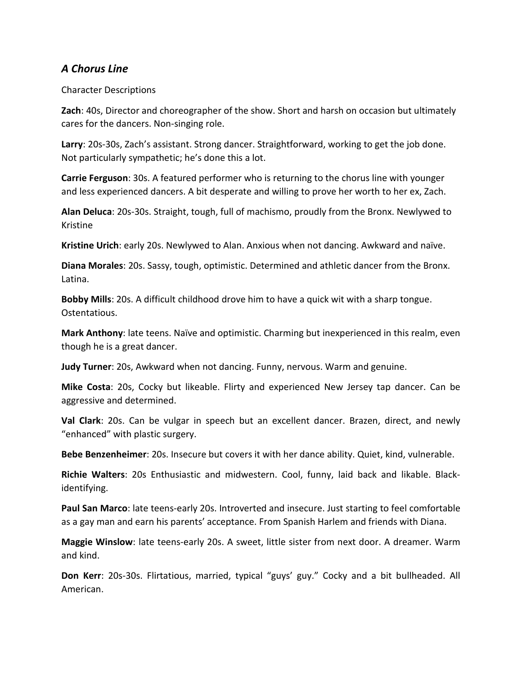## *A Chorus Line*

Character Descriptions

**Zach**: 40s, Director and choreographer of the show. Short and harsh on occasion but ultimately cares for the dancers. Non-singing role.

**Larry**: 20s-30s, Zach's assistant. Strong dancer. Straightforward, working to get the job done. Not particularly sympathetic; he's done this a lot.

**Carrie Ferguson**: 30s. A featured performer who is returning to the chorus line with younger and less experienced dancers. A bit desperate and willing to prove her worth to her ex, Zach.

**Alan Deluca**: 20s-30s. Straight, tough, full of machismo, proudly from the Bronx. Newlywed to Kristine

**Kristine Urich**: early 20s. Newlywed to Alan. Anxious when not dancing. Awkward and naïve.

**Diana Morales**: 20s. Sassy, tough, optimistic. Determined and athletic dancer from the Bronx. Latina.

**Bobby Mills**: 20s. A difficult childhood drove him to have a quick wit with a sharp tongue. Ostentatious.

**Mark Anthony**: late teens. Naïve and optimistic. Charming but inexperienced in this realm, even though he is a great dancer.

**Judy Turner**: 20s, Awkward when not dancing. Funny, nervous. Warm and genuine.

**Mike Costa**: 20s, Cocky but likeable. Flirty and experienced New Jersey tap dancer. Can be aggressive and determined.

**Val Clark**: 20s. Can be vulgar in speech but an excellent dancer. Brazen, direct, and newly "enhanced" with plastic surgery.

**Bebe Benzenheimer**: 20s. Insecure but covers it with her dance ability. Quiet, kind, vulnerable.

**Richie Walters**: 20s Enthusiastic and midwestern. Cool, funny, laid back and likable. Blackidentifying.

**Paul San Marco**: late teens-early 20s. Introverted and insecure. Just starting to feel comfortable as a gay man and earn his parents' acceptance. From Spanish Harlem and friends with Diana.

**Maggie Winslow**: late teens-early 20s. A sweet, little sister from next door. A dreamer. Warm and kind.

**Don Kerr**: 20s-30s. Flirtatious, married, typical "guys' guy." Cocky and a bit bullheaded. All American.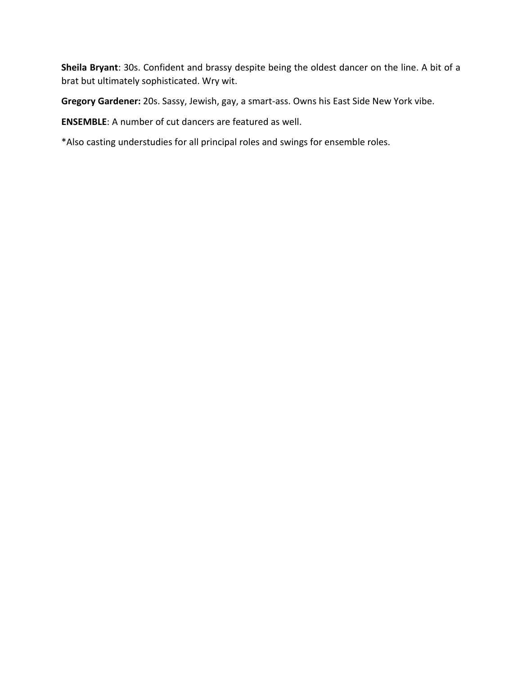**Sheila Bryant**: 30s. Confident and brassy despite being the oldest dancer on the line. A bit of a brat but ultimately sophisticated. Wry wit.

**Gregory Gardener:** 20s. Sassy, Jewish, gay, a smart-ass. Owns his East Side New York vibe.

**ENSEMBLE**: A number of cut dancers are featured as well.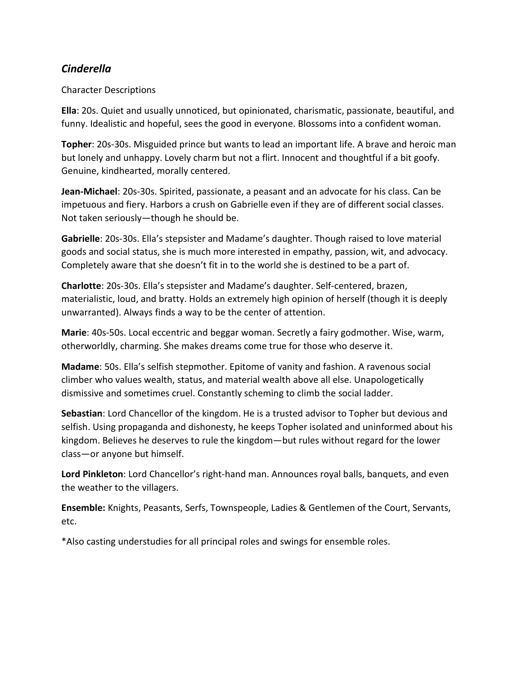# *Cinderella*

### Character Descriptions

**Ella**: 20s. Quiet and usually unnoticed, but opinionated, charismatic, passionate, beautiful, and funny. Idealistic and hopeful, sees the good in everyone. Blossoms into a confident woman.

**Topher**: 20s-30s. Misguided prince but wants to lead an important life. A brave and heroic man but lonely and unhappy. Lovely charm but not a flirt. Innocent and thoughtful if a bit goofy. Genuine, kindhearted, morally centered.

**Jean-Michael**: 20s-30s. Spirited, passionate, a peasant and an advocate for his class. Can be impetuous and fiery. Harbors a crush on Gabrielle even if they are of different social classes. Not taken seriously—though he should be.

**Gabrielle**: 20s-30s. Ella's stepsister and Madame's daughter. Though raised to love material goods and social status, she is much more interested in empathy, passion, wit, and advocacy. Completely aware that she doesn't fit in to the world she is destined to be a part of.

**Charlotte**: 20s-30s. Ella's stepsister and Madame's daughter. Self-centered, brazen, materialistic, loud, and bratty. Holds an extremely high opinion of herself (though it is deeply unwarranted). Always finds a way to be the center of attention.

**Marie**: 40s-50s. Local eccentric and beggar woman. Secretly a fairy godmother. Wise, warm, otherworldly, charming. She makes dreams come true for those who deserve it.

**Madame**: 50s. Ella's selfish stepmother. Epitome of vanity and fashion. A ravenous social climber who values wealth, status, and material wealth above all else. Unapologetically dismissive and sometimes cruel. Constantly scheming to climb the social ladder.

**Sebastian**: Lord Chancellor of the kingdom. He is a trusted advisor to Topher but devious and selfish. Using propaganda and dishonesty, he keeps Topher isolated and uninformed about his kingdom. Believes he deserves to rule the kingdom—but rules without regard for the lower class—or anyone but himself.

**Lord Pinkleton**: Lord Chancellor's right-hand man. Announces royal balls, banquets, and even the weather to the villagers.

**Ensemble:** Knights, Peasants, Serfs, Townspeople, Ladies & Gentlemen of the Court, Servants, etc.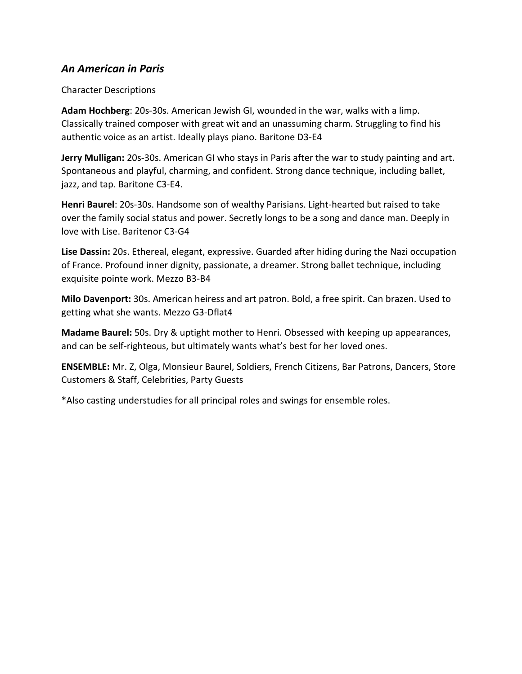## *An American in Paris*

#### Character Descriptions

**Adam Hochberg**: 20s-30s. American Jewish GI, wounded in the war, walks with a limp. Classically trained composer with great wit and an unassuming charm. Struggling to find his authentic voice as an artist. Ideally plays piano. Baritone D3-E4

**Jerry Mulligan:** 20s-30s. American GI who stays in Paris after the war to study painting and art. Spontaneous and playful, charming, and confident. Strong dance technique, including ballet, jazz, and tap. Baritone C3-E4.

**Henri Baurel**: 20s-30s. Handsome son of wealthy Parisians. Light-hearted but raised to take over the family social status and power. Secretly longs to be a song and dance man. Deeply in love with Lise. Baritenor C3-G4

**Lise Dassin:** 20s. Ethereal, elegant, expressive. Guarded after hiding during the Nazi occupation of France. Profound inner dignity, passionate, a dreamer. Strong ballet technique, including exquisite pointe work. Mezzo B3-B4

**Milo Davenport:** 30s. American heiress and art patron. Bold, a free spirit. Can brazen. Used to getting what she wants. Mezzo G3-Dflat4

**Madame Baurel:** 50s. Dry & uptight mother to Henri. Obsessed with keeping up appearances, and can be self-righteous, but ultimately wants what's best for her loved ones.

**ENSEMBLE:** Mr. Z, Olga, Monsieur Baurel, Soldiers, French Citizens, Bar Patrons, Dancers, Store Customers & Staff, Celebrities, Party Guests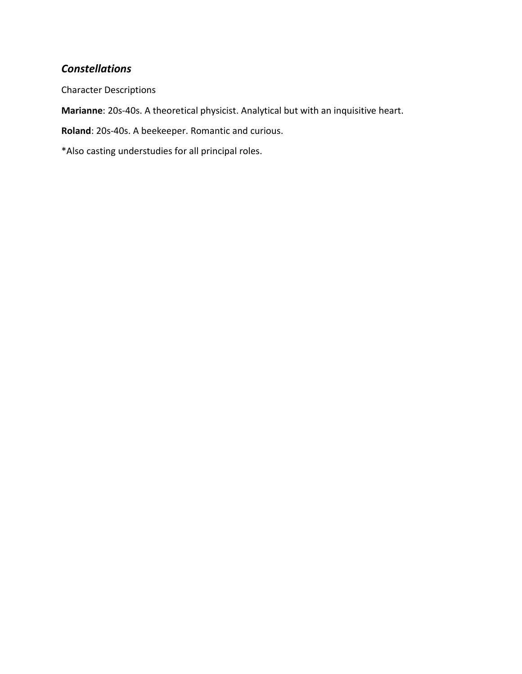# *Constellations*

Character Descriptions

**Marianne**: 20s-40s. A theoretical physicist. Analytical but with an inquisitive heart.

**Roland**: 20s-40s. A beekeeper. Romantic and curious.

\*Also casting understudies for all principal roles.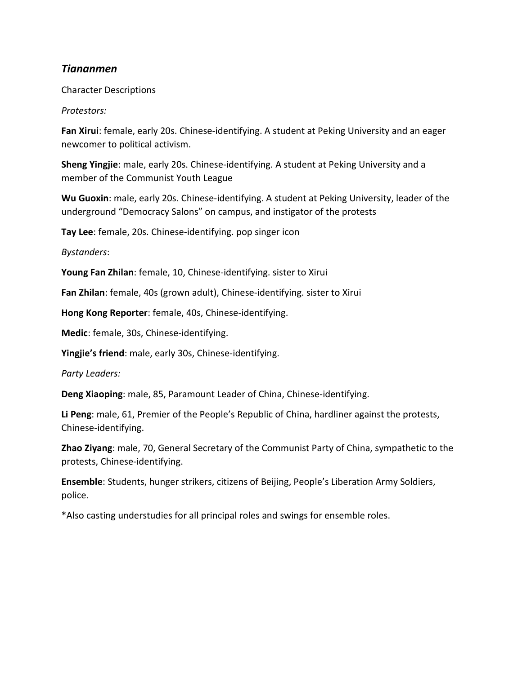## *Tiananmen*

Character Descriptions

*Protestors:* 

**Fan Xirui**: female, early 20s. Chinese-identifying. A student at Peking University and an eager newcomer to political activism.

**Sheng Yingjie**: male, early 20s. Chinese-identifying. A student at Peking University and a member of the Communist Youth League

**Wu Guoxin**: male, early 20s. Chinese-identifying. A student at Peking University, leader of the underground "Democracy Salons" on campus, and instigator of the protests

**Tay Lee**: female, 20s. Chinese-identifying. pop singer icon

*Bystanders*:

**Young Fan Zhilan**: female, 10, Chinese-identifying. sister to Xirui

**Fan Zhilan**: female, 40s (grown adult), Chinese-identifying. sister to Xirui

**Hong Kong Reporter**: female, 40s, Chinese-identifying.

**Medic**: female, 30s, Chinese-identifying.

**Yingjie's friend**: male, early 30s, Chinese-identifying.

*Party Leaders:*

**Deng Xiaoping**: male, 85, Paramount Leader of China, Chinese-identifying.

**Li Peng**: male, 61, Premier of the People's Republic of China, hardliner against the protests, Chinese-identifying.

**Zhao Ziyang**: male, 70, General Secretary of the Communist Party of China, sympathetic to the protests, Chinese-identifying.

**Ensemble**: Students, hunger strikers, citizens of Beijing, People's Liberation Army Soldiers, police.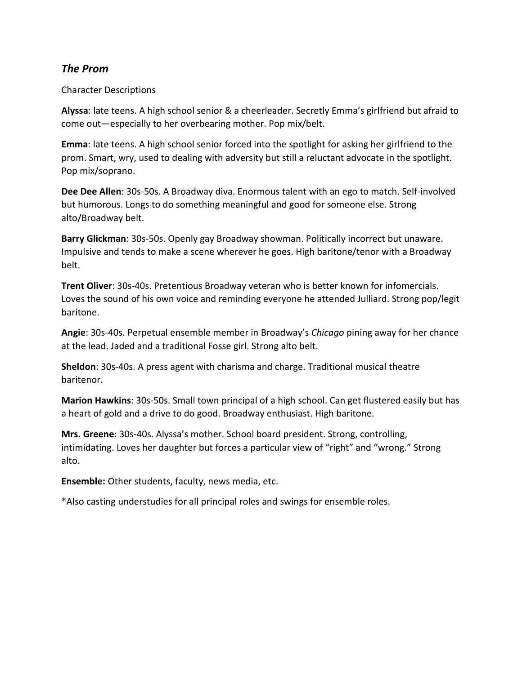## *The Prom*

#### Character Descriptions

**Alyssa**: late teens. A high school senior & a cheerleader. Secretly Emma's girlfriend but afraid to come out—especially to her overbearing mother. Pop mix/belt.

**Emma**: late teens. A high school senior forced into the spotlight for asking her girlfriend to the prom. Smart, wry, used to dealing with adversity but still a reluctant advocate in the spotlight. Pop mix/soprano.

**Dee Dee Allen**: 30s-50s. A Broadway diva. Enormous talent with an ego to match. Self-involved but humorous. Longs to do something meaningful and good for someone else. Strong alto/Broadway belt.

**Barry Glickman**: 30s-50s. Openly gay Broadway showman. Politically incorrect but unaware. Impulsive and tends to make a scene wherever he goes. High baritone/tenor with a Broadway belt.

**Trent Oliver**: 30s-40s. Pretentious Broadway veteran who is better known for infomercials. Loves the sound of his own voice and reminding everyone he attended Julliard. Strong pop/legit baritone.

**Angie**: 30s-40s. Perpetual ensemble member in Broadway's *Chicago* pining away for her chance at the lead. Jaded and a traditional Fosse girl. Strong alto belt.

**Sheldon**: 30s-40s. A press agent with charisma and charge. Traditional musical theatre baritenor.

**Marion Hawkins**: 30s-50s. Small town principal of a high school. Can get flustered easily but has a heart of gold and a drive to do good. Broadway enthusiast. High baritone.

**Mrs. Greene**: 30s-40s. Alyssa's mother. School board president. Strong, controlling, intimidating. Loves her daughter but forces a particular view of "right" and "wrong." Strong alto.

**Ensemble:** Other students, faculty, news media, etc.